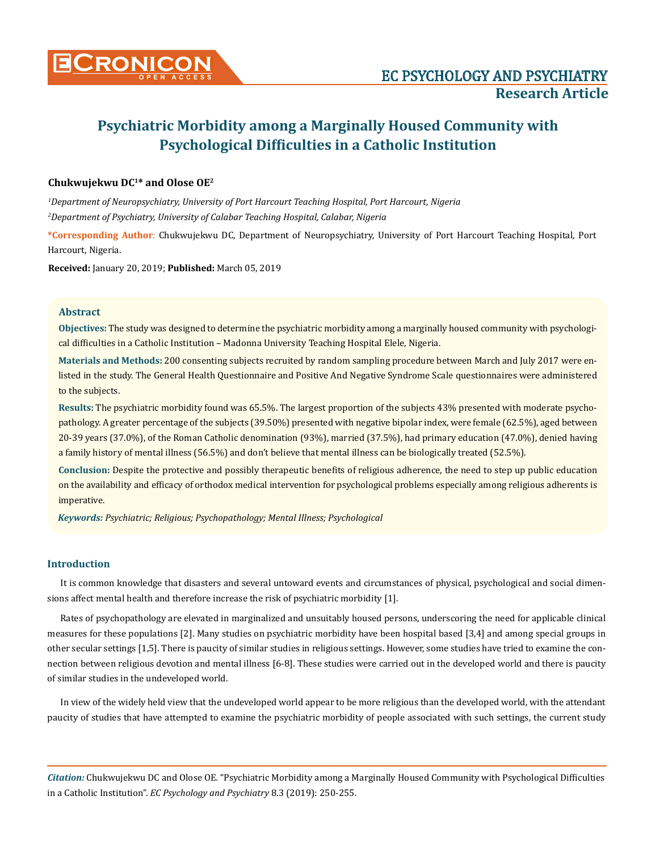

# **Chukwujekwu DC1\* and Olose OE2**

*1 Department of Neuropsychiatry, University of Port Harcourt Teaching Hospital, Port Harcourt, Nigeria 2 Department of Psychiatry, University of Calabar Teaching Hospital, Calabar, Nigeria*

**\*Corresponding Author**: Chukwujekwu DC, Department of Neuropsychiatry, University of Port Harcourt Teaching Hospital, Port Harcourt, Nigeria.

**Received:** January 20, 2019; **Published:** March 05, 2019

## **Abstract**

**Objectives:** The study was designed to determine the psychiatric morbidity among a marginally housed community with psychological difficulties in a Catholic Institution – Madonna University Teaching Hospital Elele, Nigeria.

**Materials and Methods:** 200 consenting subjects recruited by random sampling procedure between March and July 2017 were enlisted in the study. The General Health Questionnaire and Positive And Negative Syndrome Scale questionnaires were administered to the subjects.

**Results:** The psychiatric morbidity found was 65.5%. The largest proportion of the subjects 43% presented with moderate psychopathology. A greater percentage of the subjects (39.50%) presented with negative bipolar index, were female (62.5%), aged between 20-39 years (37.0%), of the Roman Catholic denomination (93%), married (37.5%), had primary education (47.0%), denied having a family history of mental illness (56.5%) and don't believe that mental illness can be biologically treated (52.5%).

**Conclusion:** Despite the protective and possibly therapeutic benefits of religious adherence, the need to step up public education on the availability and efficacy of orthodox medical intervention for psychological problems especially among religious adherents is imperative.

*Keywords: Psychiatric; Religious; Psychopathology; Mental Illness; Psychological*

## **Introduction**

It is common knowledge that disasters and several untoward events and circumstances of physical, psychological and social dimensions affect mental health and therefore increase the risk of psychiatric morbidity [1].

Rates of psychopathology are elevated in marginalized and unsuitably housed persons, underscoring the need for applicable clinical measures for these populations [2]. Many studies on psychiatric morbidity have been hospital based [3,4] and among special groups in other secular settings [1,5]. There is paucity of similar studies in religious settings. However, some studies have tried to examine the connection between religious devotion and mental illness [6-8]. These studies were carried out in the developed world and there is paucity of similar studies in the undeveloped world.

In view of the widely held view that the undeveloped world appear to be more religious than the developed world, with the attendant paucity of studies that have attempted to examine the psychiatric morbidity of people associated with such settings, the current study

*Citation:* Chukwujekwu DC and Olose OE*.* "Psychiatric Morbidity among a Marginally Housed Community with Psychological Difficulties in a Catholic Institution". *EC Psychology and Psychiatry* 8.3 (2019): 250-255.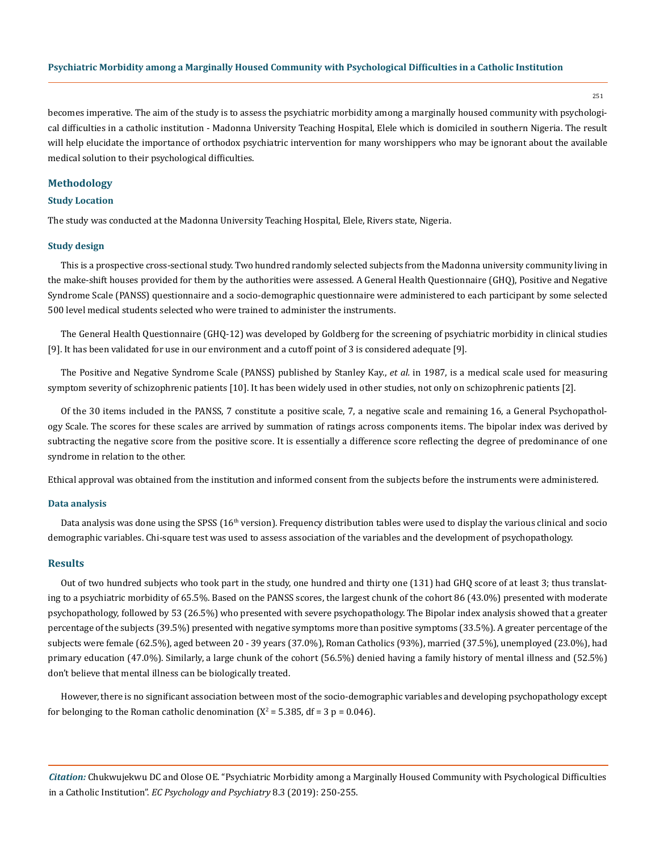251

becomes imperative. The aim of the study is to assess the psychiatric morbidity among a marginally housed community with psychological difficulties in a catholic institution - Madonna University Teaching Hospital, Elele which is domiciled in southern Nigeria. The result will help elucidate the importance of orthodox psychiatric intervention for many worshippers who may be ignorant about the available medical solution to their psychological difficulties.

#### **Methodology**

#### **Study Location**

The study was conducted at the Madonna University Teaching Hospital, Elele, Rivers state, Nigeria.

#### **Study design**

This is a prospective cross-sectional study. Two hundred randomly selected subjects from the Madonna university community living in the make-shift houses provided for them by the authorities were assessed. A General Health Questionnaire (GHQ), Positive and Negative Syndrome Scale (PANSS) questionnaire and a socio-demographic questionnaire were administered to each participant by some selected 500 level medical students selected who were trained to administer the instruments.

The General Health Questionnaire (GHQ-12) was developed by Goldberg for the screening of psychiatric morbidity in clinical studies [9]. It has been validated for use in our environment and a cutoff point of 3 is considered adequate [9].

The Positive and Negative Syndrome Scale (PANSS) published by Stanley Kay., *et al.* in 1987, is a medical scale used for measuring symptom severity of schizophrenic patients [10]. It has been widely used in other studies, not only on schizophrenic patients [2].

Of the 30 items included in the PANSS, 7 constitute a positive scale, 7, a negative scale and remaining 16, a General Psychopathology Scale. The scores for these scales are arrived by summation of ratings across components items. The bipolar index was derived by subtracting the negative score from the positive score. It is essentially a difference score reflecting the degree of predominance of one syndrome in relation to the other.

Ethical approval was obtained from the institution and informed consent from the subjects before the instruments were administered.

#### **Data analysis**

Data analysis was done using the SPSS (16<sup>th</sup> version). Frequency distribution tables were used to display the various clinical and socio demographic variables. Chi-square test was used to assess association of the variables and the development of psychopathology.

#### **Results**

Out of two hundred subjects who took part in the study, one hundred and thirty one (131) had GHQ score of at least 3; thus translating to a psychiatric morbidity of 65.5%. Based on the PANSS scores, the largest chunk of the cohort 86 (43.0%) presented with moderate psychopathology, followed by 53 (26.5%) who presented with severe psychopathology. The Bipolar index analysis showed that a greater percentage of the subjects (39.5%) presented with negative symptoms more than positive symptoms (33.5%). A greater percentage of the subjects were female (62.5%), aged between 20 - 39 years (37.0%), Roman Catholics (93%), married (37.5%), unemployed (23.0%), had primary education (47.0%). Similarly, a large chunk of the cohort (56.5%) denied having a family history of mental illness and (52.5%) don't believe that mental illness can be biologically treated.

However, there is no significant association between most of the socio-demographic variables and developing psychopathology except for belonging to the Roman catholic denomination ( $X^2$  = 5.385, df = 3 p = 0.046).

*Citation:* Chukwujekwu DC and Olose OE*.* "Psychiatric Morbidity among a Marginally Housed Community with Psychological Difficulties in a Catholic Institution". *EC Psychology and Psychiatry* 8.3 (2019): 250-255.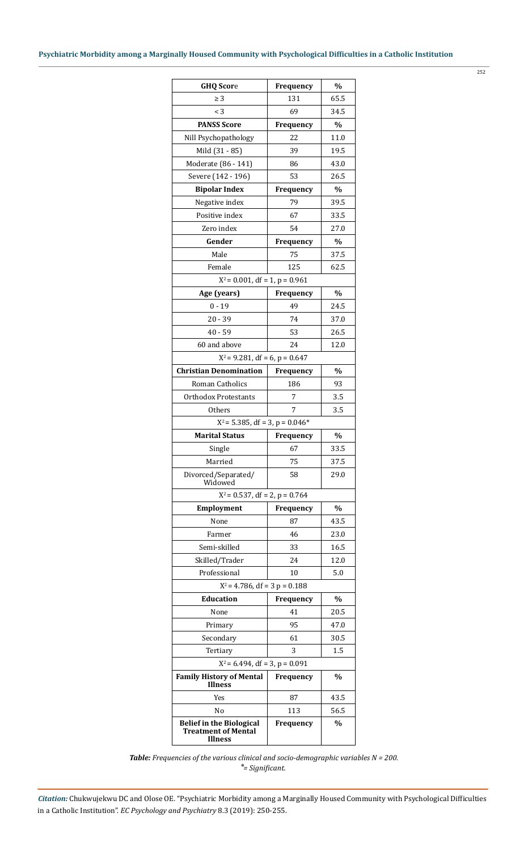252

| <b>GHQ Score</b>                                                                | Frequency        | $\%$          |
|---------------------------------------------------------------------------------|------------------|---------------|
| $\geq 3$                                                                        | 131              | 65.5          |
| $\leq$ 3                                                                        | 69               | 34.5          |
| <b>PANSS Score</b>                                                              | <b>Frequency</b> | $\%$          |
| Nill Psychopathology                                                            | 22               | 11.0          |
| Mild (31 - 85)                                                                  | 39               | 19.5          |
| Moderate (86 - 141)                                                             | 86               | 43.0          |
| Severe (142 - 196)                                                              | 53               | 26.5          |
| <b>Bipolar Index</b>                                                            | Frequency        | $\%$          |
| Negative index                                                                  | 79               | 39.5          |
| Positive index                                                                  | 67               | 33.5          |
| Zero index                                                                      | 54               | 27.0          |
| Gender                                                                          | Frequency        | $\%$          |
| Male                                                                            | 75               | 37.5          |
| Female                                                                          | 125              | 62.5          |
| $X^2$ = 0.001, df = 1, p = 0.961                                                |                  |               |
| Age (years)                                                                     | Frequency        | $\%$          |
| $0 - 19$                                                                        | 49               | 24.5          |
| $20 - 39$                                                                       | 74               | 37.0          |
| $40 - 59$                                                                       | 53               | 26.5          |
| 60 and above                                                                    | 24               | 12.0          |
| $X^2$ = 9.281, df = 6, p = 0.647                                                |                  |               |
| <b>Christian Denomination</b>                                                   | Frequency        | $\frac{0}{0}$ |
| Roman Catholics                                                                 | 186              | 93            |
| Orthodox Protestants                                                            | 7                | 3.5           |
| Others                                                                          | 7                | 3.5           |
| $X^2$ = 5.385, df = 3, p = 0.046*                                               |                  |               |
| <b>Marital Status</b>                                                           | Frequency        | $\%$          |
| Single                                                                          | 67               | 33.5          |
| Married                                                                         | 75               | 37.5          |
| Divorced/Separated/                                                             | 58               | 29.0          |
| Widowed                                                                         |                  |               |
| $X^2$ = 0.537, df = 2, p = 0.764                                                |                  |               |
| Employment                                                                      | Frequency        | %             |
| None                                                                            | 87               | 43.5          |
| Farmer                                                                          | 46               | 23.0          |
| Semi-skilled                                                                    | 33               | 16.5          |
| Skilled/Trader                                                                  | 24               | 12.0          |
| Professional                                                                    | 10               | 5.0           |
| $X^2$ = 4.786, df = 3 p = 0.188                                                 |                  |               |
| <b>Education</b>                                                                | Frequency        | %             |
| None                                                                            | 41               | 20.5          |
| Primary                                                                         | 95               | 47.0          |
| Secondary                                                                       | 61               | 30.5          |
| Tertiary                                                                        | 3                | 1.5           |
| $X^2$ = 6.494, df = 3, p = 0.091                                                |                  |               |
| <b>Family History of Mental</b><br><b>Illness</b>                               | Frequency        | $\frac{0}{0}$ |
| Yes                                                                             | 87               | 43.5          |
| No                                                                              | 113              | 56.5          |
| <b>Belief in the Biological</b><br><b>Treatment of Mental</b><br><b>Illness</b> | Frequency        | $\%$          |

*Table: Frequencies of the various clinical and socio-demographic variables N = 200. ⃰ = Significant.*

*Citation:* Chukwujekwu DC and Olose OE*.* "Psychiatric Morbidity among a Marginally Housed Community with Psychological Difficulties in a Catholic Institution". *EC Psychology and Psychiatry* 8.3 (2019): 250-255.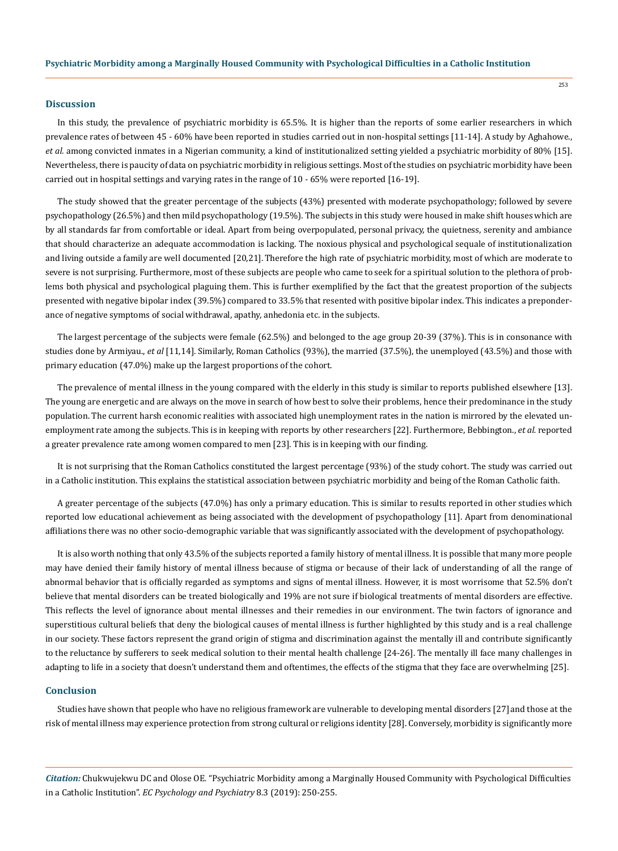#### **Discussion**

In this study, the prevalence of psychiatric morbidity is 65.5%. It is higher than the reports of some earlier researchers in which prevalence rates of between 45 - 60% have been reported in studies carried out in non-hospital settings [11-14]. A study by Aghahowe., *et al.* among convicted inmates in a Nigerian community, a kind of institutionalized setting yielded a psychiatric morbidity of 80% [15]. Nevertheless, there is paucity of data on psychiatric morbidity in religious settings. Most of the studies on psychiatric morbidity have been carried out in hospital settings and varying rates in the range of 10 - 65% were reported [16-19].

The study showed that the greater percentage of the subjects (43%) presented with moderate psychopathology; followed by severe psychopathology (26.5%) and then mild psychopathology (19.5%). The subjects in this study were housed in make shift houses which are by all standards far from comfortable or ideal. Apart from being overpopulated, personal privacy, the quietness, serenity and ambiance that should characterize an adequate accommodation is lacking. The noxious physical and psychological sequale of institutionalization and living outside a family are well documented [20,21].Therefore the high rate of psychiatric morbidity, most of which are moderate to severe is not surprising. Furthermore, most of these subjects are people who came to seek for a spiritual solution to the plethora of problems both physical and psychological plaguing them. This is further exemplified by the fact that the greatest proportion of the subjects presented with negative bipolar index (39.5%) compared to 33.5% that resented with positive bipolar index. This indicates a preponderance of negative symptoms of social withdrawal, apathy, anhedonia etc. in the subjects.

The largest percentage of the subjects were female (62.5%) and belonged to the age group 20-39 (37%). This is in consonance with studies done by Armiyau., *et al* [11,14]. Similarly, Roman Catholics (93%), the married (37.5%), the unemployed (43.5%) and those with primary education (47.0%) make up the largest proportions of the cohort.

The prevalence of mental illness in the young compared with the elderly in this study is similar to reports published elsewhere [13]. The young are energetic and are always on the move in search of how best to solve their problems, hence their predominance in the study population. The current harsh economic realities with associated high unemployment rates in the nation is mirrored by the elevated unemployment rate among the subjects. This is in keeping with reports by other researchers [22]. Furthermore, Bebbington., *et al.* reported a greater prevalence rate among women compared to men [23]. This is in keeping with our finding.

It is not surprising that the Roman Catholics constituted the largest percentage (93%) of the study cohort. The study was carried out in a Catholic institution. This explains the statistical association between psychiatric morbidity and being of the Roman Catholic faith.

A greater percentage of the subjects (47.0%) has only a primary education. This is similar to results reported in other studies which reported low educational achievement as being associated with the development of psychopathology [11]. Apart from denominational affiliations there was no other socio-demographic variable that was significantly associated with the development of psychopathology.

It is also worth nothing that only 43.5% of the subjects reported a family history of mental illness. It is possible that many more people may have denied their family history of mental illness because of stigma or because of their lack of understanding of all the range of abnormal behavior that is officially regarded as symptoms and signs of mental illness. However, it is most worrisome that 52.5% don't believe that mental disorders can be treated biologically and 19% are not sure if biological treatments of mental disorders are effective. This reflects the level of ignorance about mental illnesses and their remedies in our environment. The twin factors of ignorance and superstitious cultural beliefs that deny the biological causes of mental illness is further highlighted by this study and is a real challenge in our society. These factors represent the grand origin of stigma and discrimination against the mentally ill and contribute significantly to the reluctance by sufferers to seek medical solution to their mental health challenge [24-26]. The mentally ill face many challenges in adapting to life in a society that doesn't understand them and oftentimes, the effects of the stigma that they face are overwhelming [25].

#### **Conclusion**

Studies have shown that people who have no religious framework are vulnerable to developing mental disorders [27] and those at the risk of mental illness may experience protection from strong cultural or religions identity [28]. Conversely, morbidity is significantly more

*Citation:* Chukwujekwu DC and Olose OE*.* "Psychiatric Morbidity among a Marginally Housed Community with Psychological Difficulties in a Catholic Institution". *EC Psychology and Psychiatry* 8.3 (2019): 250-255.

253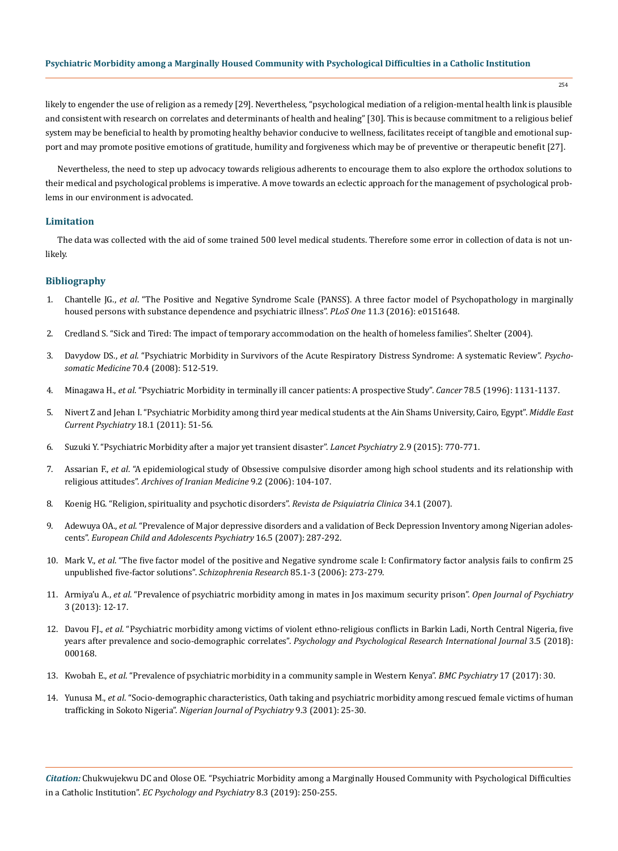likely to engender the use of religion as a remedy [29]. Nevertheless, "psychological mediation of a religion-mental health link is plausible and consistent with research on correlates and determinants of health and healing" [30]. This is because commitment to a religious belief system may be beneficial to health by promoting healthy behavior conducive to wellness, facilitates receipt of tangible and emotional support and may promote positive emotions of gratitude, humility and forgiveness which may be of preventive or therapeutic benefit [27].

Nevertheless, the need to step up advocacy towards religious adherents to encourage them to also explore the orthodox solutions to their medical and psychological problems is imperative. A move towards an eclectic approach for the management of psychological problems in our environment is advocated.

### **Limitation**

The data was collected with the aid of some trained 500 level medical students. Therefore some error in collection of data is not unlikely.

## **Bibliography**

- 1. Chantelle JG., *et al*[. "The Positive and Negative Syndrome Scale \(PANSS\). A three factor model of Psychopathology in marginally](https://www.ncbi.nlm.nih.gov/pubmed/26999280) [housed persons with substance dependence and psychiatric illness".](https://www.ncbi.nlm.nih.gov/pubmed/26999280) *PLoS One* 11.3 (2016): e0151648.
- 2. [Credland S. "Sick and Tired: The impact of temporary accommodation on the health of homeless families". Shelter \(2004\).](http://england.shelter.org.uk_data/assets/pdf_file/0009/48465/Research_report_sick_and_Tired_Dec_2004.pdf)
- 3. Davydow DS., *et al*[. "Psychiatric Morbidity in Survivors of the Acute Respiratory Distress Syndrome: A systematic Review".](https://www.ncbi.nlm.nih.gov/pubmed/18434495) *Psychosomatic Medicine* [70.4 \(2008\): 512-519.](https://www.ncbi.nlm.nih.gov/pubmed/18434495)
- 4. Minagawa H., *et al*[. "Psychiatric Morbidity in terminally ill cancer patients: A prospective Study".](https://www.ncbi.nlm.nih.gov/pubmed/8780554) *Cancer* 78.5 (1996): 1131-1137.
- 5. [Nivert Z and Jehan I. "Psychiatric Morbidity among third year medical students at the Ain Shams University, Cairo, Egypt".](https://journals.lww.com/mecpsychiatry/Fulltext/2011/01000/Psychiatric_morbidity_among_third_year_medical.9.aspx) *Middle East [Current Psychiatry](https://journals.lww.com/mecpsychiatry/Fulltext/2011/01000/Psychiatric_morbidity_among_third_year_medical.9.aspx)* 18.1 (2011): 51-56.
- 6. [Suzuki Y. "Psychiatric Morbidity after a major yet transient disaster".](https://www.ncbi.nlm.nih.gov/pubmed/26236005) *Lancet Psychiatry* 2.9 (2015): 770-771.
- 7. Assarian F., *et al*[. "A epidemiological study of Obsessive compulsive disorder among high school students and its relationship with](https://www.ncbi.nlm.nih.gov/pubmed/16649349) religious attitudes". *[Archives of Iranian Medicine](https://www.ncbi.nlm.nih.gov/pubmed/16649349)* 9.2 (2006): 104-107.
- 8. [Koenig HG. "Religion, spirituality and psychotic disorders".](http://www.scielo.br/scielo.php?pid=s0101-60832007000700013&script=sci_arttext&tlng=en) *Revista de Psiquiatria Clinica* 34.1 (2007).
- 9. Adewuya OA., *et al*[. "Prevalence of Major depressive disorders and a validation of Beck Depression Inventory among Nigerian adoles](https://psycnet.apa.org/record/2007-13379-001)cents". *[European Child and Adolescents Psychiatry](https://psycnet.apa.org/record/2007-13379-001)* 16.5 (2007): 287-292.
- 10. Mark V., *et al*[. "The five factor model of the positive and Negative syndrome scale I: Confirmatory factor analysis fails to confirm 25](https://www.ncbi.nlm.nih.gov/pubmed/16730430) [unpublished five-factor solutions".](https://www.ncbi.nlm.nih.gov/pubmed/16730430) *Schizophrenia Research* 85.1-3 (2006): 273-279.
- 11. Armiya'u A., *et al*[. "Prevalence of psychiatric morbidity among in mates in Jos maximum security prison".](https://file.scirp.org/pdf/OJPsych_2013012914212934.pdf) *Open Journal of Psychiatry* [3 \(2013\): 12-17.](https://file.scirp.org/pdf/OJPsych_2013012914212934.pdf)
- 12. Davou FJ., *et al*[. "Psychiatric morbidity among victims of violent ethno-religious conflicts in Barkin Ladi, North Central Nigeria, five](https://www.researchgate.net/publication/326209334_Psychiatric_morbidity_among_victims_of_violent_ethno-religious_conflicts_in_Barkin-Ladi_North_Central_Nigeria_Five_years_After_prevalence_and_sociodemographic_correlates) years after prevalence and socio-demographic correlates". *[Psychology and Psychological Research International Journal](https://www.researchgate.net/publication/326209334_Psychiatric_morbidity_among_victims_of_violent_ethno-religious_conflicts_in_Barkin-Ladi_North_Central_Nigeria_Five_years_After_prevalence_and_sociodemographic_correlates)* 3.5 (2018): [000168.](https://www.researchgate.net/publication/326209334_Psychiatric_morbidity_among_victims_of_violent_ethno-religious_conflicts_in_Barkin-Ladi_North_Central_Nigeria_Five_years_After_prevalence_and_sociodemographic_correlates)
- 13. Kwobah E., *et al*[. "Prevalence of psychiatric morbidity in a community sample in Western Kenya".](https://www.ncbi.nlm.nih.gov/pmc/articles/PMC5242046/) *BMC Psychiatry* 17 (2017): 30.
- 14. Yunusa M., *et al*[. "Socio-demographic characteristics, Oath taking and psychiatric morbidity among rescued female victims of human](https://www.ajol.info/index.php/njpsyc/article/view/79835)  trafficking in Sokoto Nigeria". *[Nigerian Journal of Psychiatry](https://www.ajol.info/index.php/njpsyc/article/view/79835)* 9.3 (2001): 25-30.

*Citation:* Chukwujekwu DC and Olose OE*.* "Psychiatric Morbidity among a Marginally Housed Community with Psychological Difficulties in a Catholic Institution". *EC Psychology and Psychiatry* 8.3 (2019): 250-255.

254